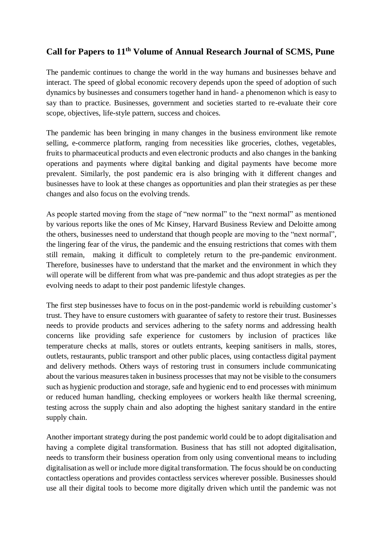## **Call for Papers to 11th Volume of Annual Research Journal of SCMS, Pune**

The pandemic continues to change the world in the way humans and businesses behave and interact. The speed of global economic recovery depends upon the speed of adoption of such dynamics by businesses and consumers together hand in hand- a phenomenon which is easy to say than to practice. Businesses, government and societies started to re-evaluate their core scope, objectives, life-style pattern, success and choices.

The pandemic has been bringing in many changes in the business environment like remote selling, e-commerce platform, ranging from necessities like groceries, clothes, vegetables, fruits to pharmaceutical products and even electronic products and also changes in the banking operations and payments where digital banking and digital payments have become more prevalent. Similarly, the post pandemic era is also bringing with it different changes and businesses have to look at these changes as opportunities and plan their strategies as per these changes and also focus on the evolving trends.

As people started moving from the stage of "new normal" to the "next normal" as mentioned by various reports like the ones of Mc Kinsey, Harvard Business Review and Deloitte among the others, businesses need to understand that though people are moving to the "next normal", the lingering fear of the virus, the pandemic and the ensuing restrictions that comes with them still remain, making it difficult to completely return to the pre-pandemic environment. Therefore, businesses have to understand that the market and the environment in which they will operate will be different from what was pre-pandemic and thus adopt strategies as per the evolving needs to adapt to their post pandemic lifestyle changes.

The first step businesses have to focus on in the post-pandemic world is rebuilding customer's trust. They have to ensure customers with guarantee of safety to restore their trust. Businesses needs to provide products and services adhering to the safety norms and addressing health concerns like providing safe experience for customers by inclusion of practices like temperature checks at malls, stores or outlets entrants, keeping sanitisers in malls, stores, outlets, restaurants, public transport and other public places, using contactless digital payment and delivery methods. Others ways of restoring trust in consumers include communicating about the various measures taken in business processes that may not be visible to the consumers such as hygienic production and storage, safe and hygienic end to end processes with minimum or reduced human handling, checking employees or workers health like thermal screening, testing across the supply chain and also adopting the highest sanitary standard in the entire supply chain.

Another important strategy during the post pandemic world could be to adopt digitalisation and having a complete digital transformation. Business that has still not adopted digitalisation, needs to transform their business operation from only using conventional means to including digitalisation as well or include more digital transformation. The focus should be on conducting contactless operations and provides contactless services wherever possible. Businesses should use all their digital tools to become more digitally driven which until the pandemic was not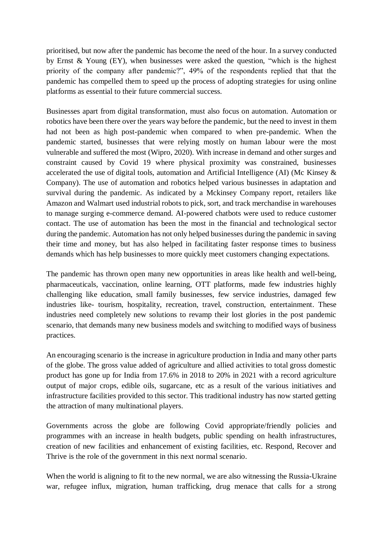prioritised, but now after the pandemic has become the need of the hour. In a survey conducted by Ernst & Young (EY), when businesses were asked the question, "which is the highest priority of the company after pandemic?", 49% of the respondents replied that that the pandemic has compelled them to speed up the process of adopting strategies for using online platforms as essential to their future commercial success.

Businesses apart from digital transformation, must also focus on automation. Automation or robotics have been there over the years way before the pandemic, but the need to invest in them had not been as high post-pandemic when compared to when pre-pandemic. When the pandemic started, businesses that were relying mostly on human labour were the most vulnerable and suffered the most (Wipro, 2020). With increase in demand and other surges and constraint caused by Covid 19 where physical proximity was constrained, businesses accelerated the use of digital tools, automation and Artificial Intelligence (AI) (Mc Kinsey & Company). The use of automation and robotics helped various businesses in adaptation and survival during the pandemic. As indicated by a Mckinsey Company report, retailers like Amazon and Walmart used industrial robots to pick, sort, and track merchandise in warehouses to manage surging e-commerce demand. AI-powered chatbots were used to reduce customer contact. The use of automation has been the most in the financial and technological sector during the pandemic. Automation has not only helped businesses during the pandemic in saving their time and money, but has also helped in facilitating faster response times to business demands which has help businesses to more quickly meet customers changing expectations.

The pandemic has thrown open many new opportunities in areas like health and well-being, pharmaceuticals, vaccination, online learning, OTT platforms, made few industries highly challenging like education, small family businesses, few service industries, damaged few industries like- tourism, hospitality, recreation, travel, construction, entertainment. These industries need completely new solutions to revamp their lost glories in the post pandemic scenario, that demands many new business models and switching to modified ways of business practices.

An encouraging scenario is the increase in agriculture production in India and many other parts of the globe. The gross value added of agriculture and allied activities to total gross domestic product has gone up for India from 17.6% in 2018 to 20% in 2021 with a record agriculture output of major crops, edible oils, sugarcane, etc as a result of the various initiatives and infrastructure facilities provided to this sector. This traditional industry has now started getting the attraction of many multinational players.

Governments across the globe are following Covid appropriate/friendly policies and programmes with an increase in health budgets, public spending on health infrastructures, creation of new facilities and enhancement of existing facilities, etc. Respond, Recover and Thrive is the role of the government in this next normal scenario.

When the world is aligning to fit to the new normal, we are also witnessing the Russia-Ukraine war, refugee influx, migration, human trafficking, drug menace that calls for a strong